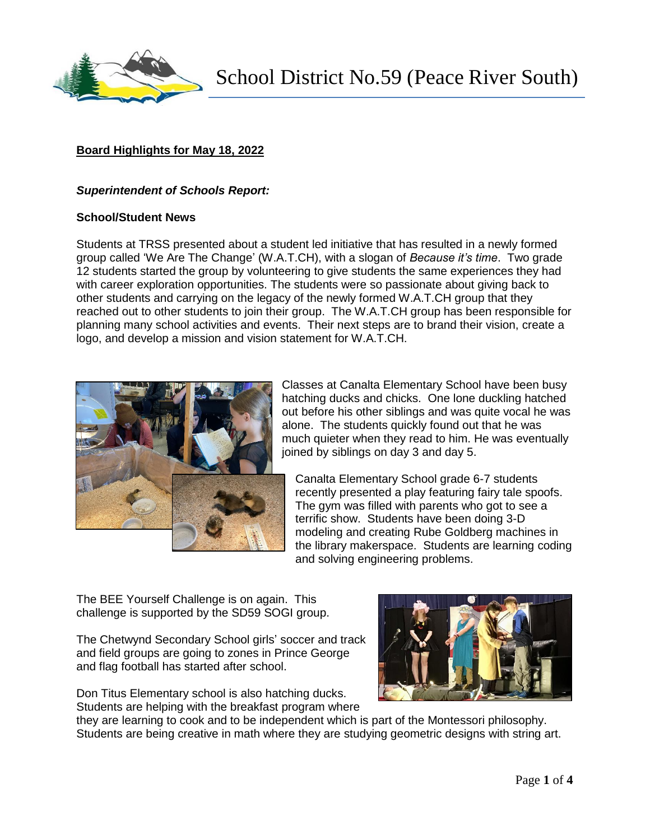

School District No.59 (Peace River South)

# **Board Highlights for May 18, 2022**

#### *Superintendent of Schools Report:*

#### **School/Student News**

Students at TRSS presented about a student led initiative that has resulted in a newly formed group called 'We Are The Change' (W.A.T.CH), with a slogan of *Because it's time*. Two grade 12 students started the group by volunteering to give students the same experiences they had with career exploration opportunities. The students were so passionate about giving back to other students and carrying on the legacy of the newly formed W.A.T.CH group that they reached out to other students to join their group. The W.A.T.CH group has been responsible for planning many school activities and events. Their next steps are to brand their vision, create a logo, and develop a mission and vision statement for W.A.T.CH.



Classes at Canalta Elementary School have been busy hatching ducks and chicks. One lone duckling hatched out before his other siblings and was quite vocal he was alone. The students quickly found out that he was much quieter when they read to him. He was eventually joined by siblings on day 3 and day 5.

Canalta Elementary School grade 6-7 students recently presented a play featuring fairy tale spoofs. The gym was filled with parents who got to see a terrific show. Students have been doing 3-D modeling and creating Rube Goldberg machines in the library makerspace. Students are learning coding and solving engineering problems.

The BEE Yourself Challenge is on again. This challenge is supported by the SD59 SOGI group.

The Chetwynd Secondary School girls' soccer and track and field groups are going to zones in Prince George and flag football has started after school.

Don Titus Elementary school is also hatching ducks. Students are helping with the breakfast program where



they are learning to cook and to be independent which is part of the Montessori philosophy. Students are being creative in math where they are studying geometric designs with string art.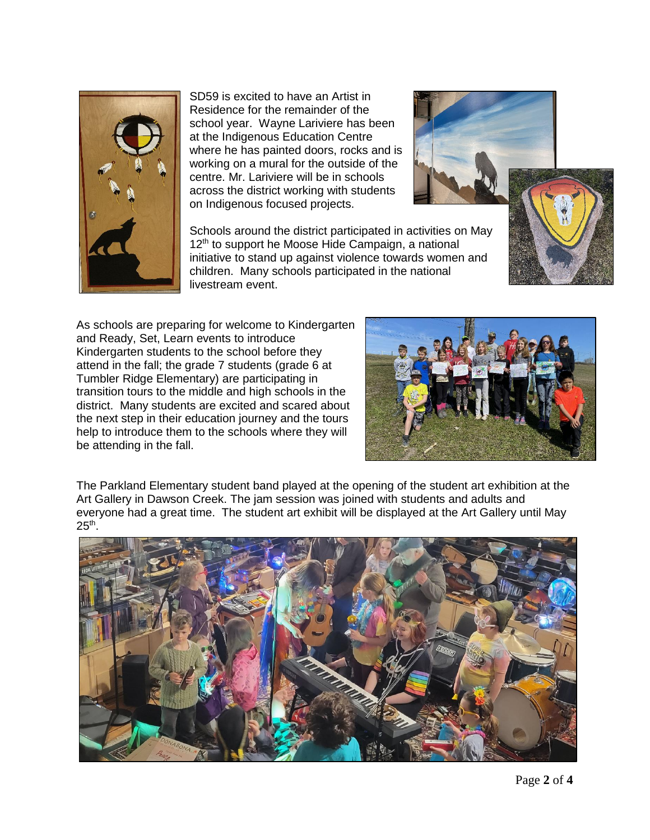

SD59 is excited to have an Artist in Residence for the remainder of the school year. Wayne Lariviere has been at the Indigenous Education Centre where he has painted doors, rocks and is working on a mural for the outside of the centre. Mr. Lariviere will be in schools across the district working with students on Indigenous focused projects.

Schools around the district participated in activities on May 12<sup>th</sup> to support he Moose Hide Campaign, a national initiative to stand up against violence towards women and children. Many schools participated in the national livestream event.

As schools are preparing for welcome to Kindergarten and Ready, Set, Learn events to introduce Kindergarten students to the school before they attend in the fall; the grade 7 students (grade 6 at Tumbler Ridge Elementary) are participating in transition tours to the middle and high schools in the district. Many students are excited and scared about the next step in their education journey and the tours help to introduce them to the schools where they will be attending in the fall.



The Parkland Elementary student band played at the opening of the student art exhibition at the Art Gallery in Dawson Creek. The jam session was joined with students and adults and everyone had a great time. The student art exhibit will be displayed at the Art Gallery until May  $25<sup>th</sup>$ .

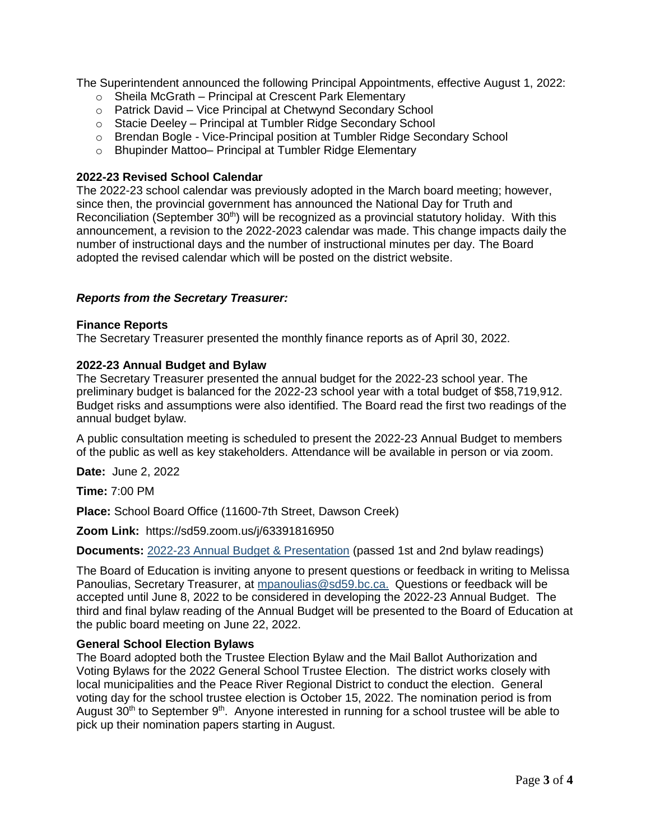The Superintendent announced the following Principal Appointments, effective August 1, 2022:

- o Sheila McGrath Principal at Crescent Park Elementary
- o Patrick David Vice Principal at Chetwynd Secondary School
- o Stacie Deeley Principal at Tumbler Ridge Secondary School
- o Brendan Bogle Vice-Principal position at Tumbler Ridge Secondary School
- o Bhupinder Mattoo– Principal at Tumbler Ridge Elementary

# **2022-23 Revised School Calendar**

The 2022-23 school calendar was previously adopted in the March board meeting; however, since then, the provincial government has announced the National Day for Truth and Reconciliation (September 30<sup>th</sup>) will be recognized as a provincial statutory holiday. With this announcement, a revision to the 2022-2023 calendar was made. This change impacts daily the number of instructional days and the number of instructional minutes per day. The Board adopted the revised calendar which will be posted on the district website.

# *Reports from the Secretary Treasurer:*

# **Finance Reports**

The Secretary Treasurer presented the monthly finance reports as of April 30, 2022.

# **2022-23 Annual Budget and Bylaw**

The Secretary Treasurer presented the annual budget for the 2022-23 school year. The preliminary budget is balanced for the 2022-23 school year with a total budget of \$58,719,912. Budget risks and assumptions were also identified. The Board read the first two readings of the annual budget bylaw.

A public consultation meeting is scheduled to present the 2022-23 Annual Budget to members of the public as well as key stakeholders. Attendance will be available in person or via zoom.

**Date:** June 2, 2022

**Time:** 7:00 PM

**Place:** School Board Office (11600-7th Street, Dawson Creek)

**Zoom Link:** https://sd59.zoom.us/j/63391816950

**Documents:** [2022-23 Annual Budget & Presentation](https://www.sd59.bc.ca/2022-23AnnualBudget-Draft) (passed 1st and 2nd bylaw readings)

The Board of Education is inviting anyone to present questions or feedback in writing to Melissa Panoulias, Secretary Treasurer, at [mpanoulias@sd59.bc.ca.](mailto:%20mpanoulias@sd59.bc.ca) Questions or feedback will be accepted until June 8, 2022 to be considered in developing the 2022-23 Annual Budget. The third and final bylaw reading of the Annual Budget will be presented to the Board of Education at the public board meeting on June 22, 2022.

#### **General School Election Bylaws**

The Board adopted both the Trustee Election Bylaw and the Mail Ballot Authorization and Voting Bylaws for the 2022 General School Trustee Election. The district works closely with local municipalities and the Peace River Regional District to conduct the election. General voting day for the school trustee election is October 15, 2022. The nomination period is from August 30<sup>th</sup> to September 9<sup>th</sup>. Anyone interested in running for a school trustee will be able to pick up their nomination papers starting in August.